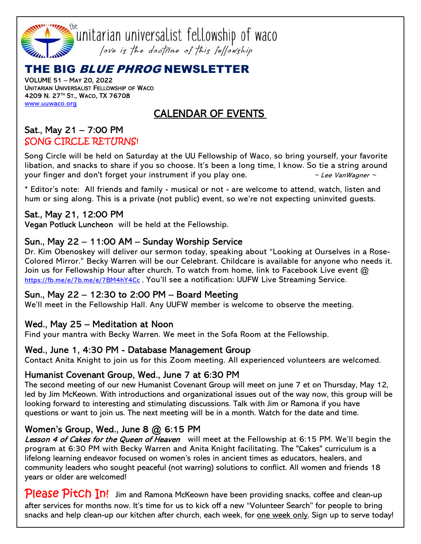

# THE BIG *BLUE PHROG* NEWSLETTER

VOLUME 51 – MAY 20, 2022 UNITARIAN UNIVERSALIST FELLOWSHIP OF WACO 4209 N. 27™ ST., Waco, TX 76708 www.uuwaco.org

# CALENDAR OF EVENTS

# Sat., May 21 – 7:00 PM SONG CIRCLE RETURNS!

Song Circle will be held on Saturday at the UU Fellowship of Waco, so bring yourself, your favorite libation, and snacks to share if you so choose. It's been a long time, I know. So tie a string around your finger and don't forget your instrument if you play one.  $\sim$  Lee VanWagner  $\sim$ 

\* Editor's note: All friends and family - musical or not - are welcome to attend, watch, listen and hum or sing along. This is a private (not public) event, so we're not expecting uninvited guests.

### Sat., May 21, 12:00 PM

Vegan Potluck Luncheon will be held at the Fellowship.

### Sun., May 22 – 11:00 AM – Sunday Worship Service

Dr. Kim Obenoskey will deliver our sermon today, speaking about "Looking at Ourselves in a Rose-Colored Mirror." Becky Warren will be our Celebrant. Childcare is available for anyone who needs it. Join us for Fellowship Hour after church. To watch from home, link to Facebook Live event  $@$ https://fb.me/e/7b.me/e/7BM4hY4Cc. You'll see a notification: UUFW Live Streaming Service.

#### Sun., May 22 – 12:30 to 2:00 PM – Board Meeting

We'll meet in the Fellowship Hall. Any UUFW member is welcome to observe the meeting.

# Wed., May 25 – Meditation at Noon

Find your mantra with Becky Warren. We meet in the Sofa Room at the Fellowship.

#### Wed., June 1, 4:30 PM - Database Management Group

Contact Anita Knight to join us for this Zoom meeting. All experienced volunteers are welcomed.

# Humanist Covenant Group, Wed., June 7 at 6:30 PM

The second meeting of our new Humanist Covenant Group will meet on june 7 et on Thursday, May 12, led by Jim McKeown. With introductions and organizational issues out of the way now, this group will be looking forward to interesting and stimulating discussions. Talk with Jim or Ramona if you have questions or want to join us. The next meeting will be in a month. Watch for the date and time.

# Women's Group, Wed., June 8 @ 6:15 PM

Lesson 4 of Cakes for the Queen of Heaven will meet at the Fellowship at 6:15 PM. We'll begin the program at 6:30 PM with Becky Warren and Anita Knight facilitating. The "Cakes" curriculum is a lifelong learning endeavor focused on women's roles in ancient times as educators, healers, and community leaders who sought peaceful (not warring) solutions to conflict. All women and friends 18 years or older are welcomed!

Please Pitch In! Jim and Ramona McKeown have been providing snacks, coffee and clean-up after services for months now. It's time for us to kick off a new "Volunteer Search" for people to bring snacks and help clean-up our kitchen after church, each week, for one week only. Sign up to serve today!